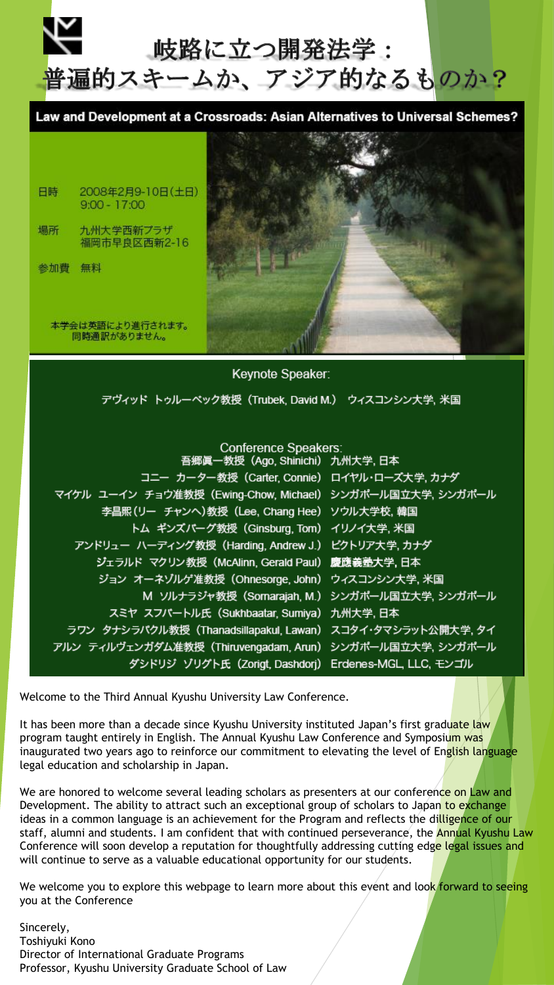

Law and Development at a Crossroads: Asian Alternatives to Universal Schemes?



日時 2008年2月9-10日(土日)  $9:00 - 17:00$ 

場所 九州大学西新プラザ 福岡市早良区西新2-16

参加費 無料

本学会は英語により進行されます。 同時通訳がありません。

デヴィッド トゥルーベック教授 (Trubek, David M.) ウィスコンシン大学、米国

Keynote Speaker:

#### **Conference Speakers:**

| 吾郷眞一教授(Ago, Shinichi) 九州大学, 日本                              |  |
|-------------------------------------------------------------|--|
| コニー カーター教授 (Carter, Connie) ロイヤル・ローズ大学, カナダ                 |  |
| マイケル ユーイン チョウ准教授 (Ewing-Chow, Michael) シンガポール国立大学, シンガポール   |  |
| 李昌熙 (リー チャンヘ)教授 (Lee, Chang Hee) ソウル大学校, 韓国                 |  |
| トム ギンズバーグ教授 (Ginsburg, Tom) イリノイ大学, 米国                      |  |
| アンドリュー ハーディング教授 (Harding, Andrew J.) ビクトリア大学, カナダ           |  |
| ジェラルド マクリン教授 (McAlinn, Gerald Paul) 慶應義塾大学,日本               |  |
| ジョン オーネゾルゲ准教授 (Ohnesorge, John) ウィスコンシン大学, 米国               |  |
| M ソルナラジャ教授 (Somarajah, M.) シンガポール国立大学, シンガポール               |  |
| スミヤ スフバートル氏 (Sukhbaatar, Sumiya) 九州大学, 日本                   |  |
| ラワン タナシラパクル教授 (Thanadsillapakul, Lawan) スコタイ・タマシラット公開大学, タイ |  |
| アルン ティルヴェンガダム准教授 (Thiruvengadam, Arun) シンガポール国立大学, シンガポール   |  |
| ダシドリジ ゾリグト氏 (Zorigt, Dashdorj) Erdenes-MGL, LLC, モンゴル       |  |
|                                                             |  |

Welcome to the Third Annual Kyushu University Law Conference.

It has been more than a decade since Kyushu University instituted Japan's first graduate law program taught entirely in English. The Annual Kyushu Law Conference and Symposium was inaugurated two years ago to reinforce our commitment to elevating the level of English language legal education and scholarship in Japan.

We are honored to welcome several leading scholars as presenters at our conference on Law and Development. The ability to attract such an exceptional group of scholars to Japan to exchange ideas in a common language is an achievement for the Program and reflects the dilligence of our staff, alumni and students. I am confident that with continued perseverance, the **Annual Kyushu Law** Conference will soon develop a reputation for thoughtfully addressing cutting edge legal issues and will continue to serve as a valuable educational opportunity for our students.

We welcome you to explore this webpage to learn more about this event and look forward to seeing you at the Conference

Sincerely, Toshiyuki Kono Director of International Graduate Programs Professor, Kyushu University Graduate School of Law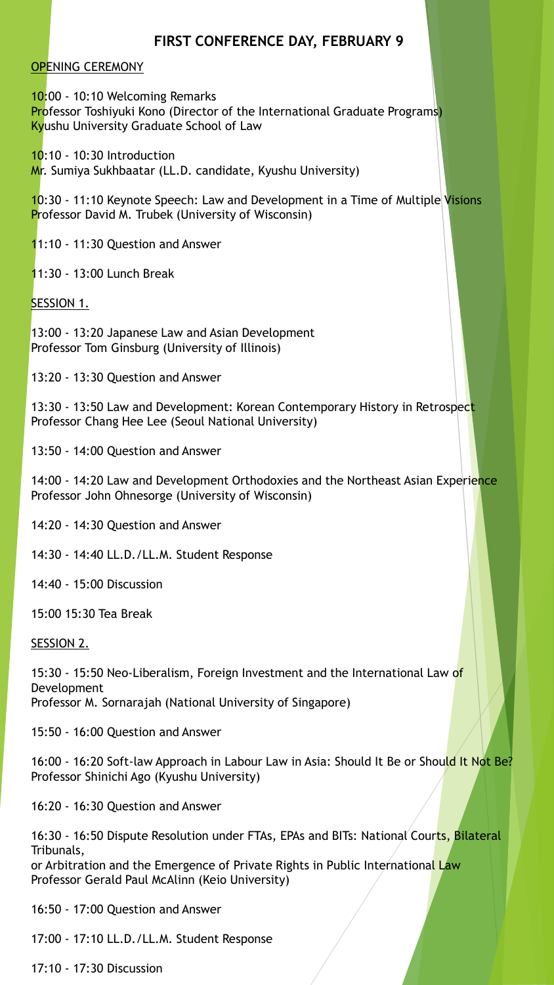## **FIRST CONFERENCE DAY, FEBRUARY 9**

### OPENING CEREMONY

10:00 - 10:10 Welcoming Remarks **Professor Toshiyuki Kono (Director of the International Graduate Programs)** Kyushu University Graduate School of Law

10:10 - 10:30 Introduction Mr. Sumiya Sukhbaatar (LL.D. candidate, Kyushu University)

10:30 - 11:10 Keynote Speech: Law and Development in a Time of Multiple Visions Professor David M. Trubek (University of Wisconsin)

11:10 - 11:30 Question and Answer

11:30 - 13:00 Lunch Break

SESSION 1.

13:00 - 13:20 Japanese Law and Asian Development Professor Tom Ginsburg (University of Illinois)

13:20 - 13:30 Question and Answer

13:30 - 13:50 Law and Development: Korean Contemporary History in Retrospect Professor Chang Hee Lee (Seoul National University)

13:50 - 14:00 Question and Answer

14:00 - 14:20 Law and Development Orthodoxies and the Northeast Asian Experience Professor John Ohnesorge (University of Wisconsin)

14:20 - 14:30 Question and Answer

14:30 - 14:40 LL.D./LL.M. Student Response

14:40 - 15:00 Discussion

15:00 15:30 Tea Break

SESSION 2.

15:30 - 15:50 Neo-Liberalism, Foreign Investment and the International Law of Development Professor M. Sornarajah (National University of Singapore)

15:50 - 16:00 Question and Answer

16:00 - 16:20 Soft-law Approach in Labour Law in Asia: Should It Be or Should It Not Be? Professor Shinichi Ago (Kyushu University)

16:20 - 16:30 Question and Answer

16:30 - 16:50 Dispute Resolution under FTAs, EPAs and BITs: National Courts, Bilateral Tribunals,

or Arbitration and the Emergence of Private Rights in Public International Law Professor Gerald Paul McAlinn (Keio University)

16:50 - 17:00 Question and Answer

17:00 - 17:10 LL.D./LL.M. Student Response

17:10 - 17:30 Discussion